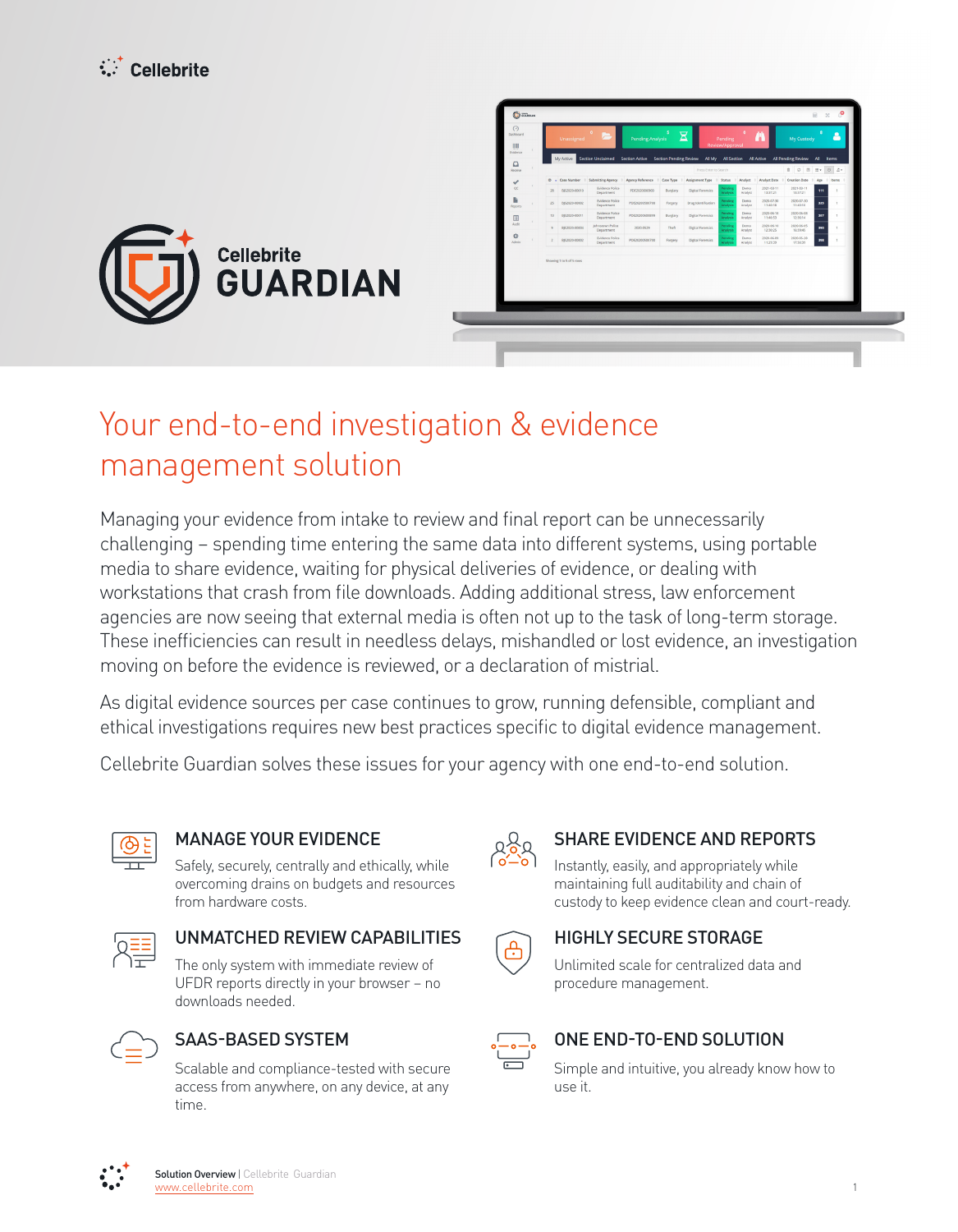



# Your end-to-end investigation & evidence management solution

Managing your evidence from intake to review and final report can be unnecessarily challenging – spending time entering the same data into different systems, using portable media to share evidence, waiting for physical deliveries of evidence, or dealing with workstations that crash from file downloads. Adding additional stress, law enforcement agencies are now seeing that external media is often not up to the task of long-term storage. These inefficiencies can result in needless delays, mishandled or lost evidence, an investigation moving on before the evidence is reviewed, or a declaration of mistrial.

As digital evidence sources per case continues to grow, running defensible, compliant and ethical investigations requires new best practices specific to digital evidence management.

Cellebrite Guardian solves these issues for your agency with one end-to-end solution.



Safely, securely, centrally and ethically, while overcoming drains on budgets and resources from hardware costs.



## UNMATCHED REVIEW CAPABILITIES **CAPABILITIES** HIGHLY SECURE STORAGE

The only system with immediate review of UFDR reports directly in your browser - no downloads needed.



Scalable and compliance-tested with secure access from anywhere, on any device, at any time.



### MANAGE YOUR EVIDENCE  $\Omega_{\Omega}$  SHARE EVIDENCE AND REPORTS

Instantly, easily, and appropriately while maintaining full auditability and chain of custody to keep evidence clean and court-ready.



Unlimited scale for centralized data and procedure management.



### SAAS-BASED SYSTEM END-TO-END SOLUTION

Simple and intuitive, you already know how to use it.